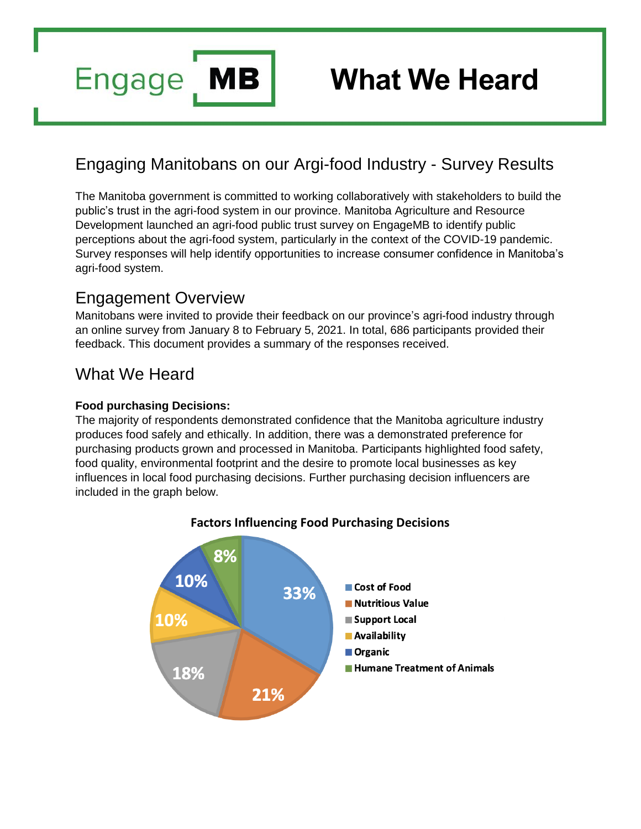

# **What We Heard**

# Engaging Manitobans on our Argi-food Industry - Survey Results

The Manitoba government is committed to working collaboratively with stakeholders to build the public's trust in the agri-food system in our province. Manitoba Agriculture and Resource Development launched an agri-food public trust survey on EngageMB to identify public perceptions about the agri-food system, particularly in the context of the COVID-19 pandemic. Survey responses will help identify opportunities to increase consumer confidence in Manitoba's agri-food system.

## Engagement Overview

Manitobans were invited to provide their feedback on our province's agri-food industry through an online survey from January 8 to February 5, 2021. In total, 686 participants provided their feedback. This document provides a summary of the responses received.

## What We Heard

#### **Food purchasing Decisions:**

The majority of respondents demonstrated confidence that the Manitoba agriculture industry produces food safely and ethically. In addition, there was a demonstrated preference for purchasing products grown and processed in Manitoba. Participants highlighted food safety, food quality, environmental footprint and the desire to promote local businesses as key influences in local food purchasing decisions. Further purchasing decision influencers are included in the graph below.



#### **Factors Influencing Food Purchasing Decisions**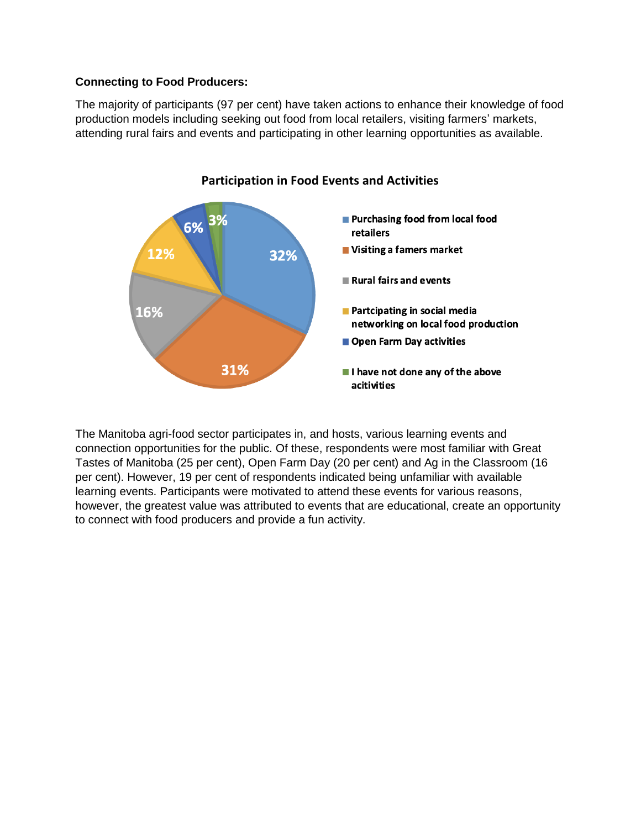#### **Connecting to Food Producers:**

The majority of participants (97 per cent) have taken actions to enhance their knowledge of food production models including seeking out food from local retailers, visiting farmers' markets, attending rural fairs and events and participating in other learning opportunities as available.



**Participation in Food Events and Activities**

The Manitoba agri-food sector participates in, and hosts, various learning events and connection opportunities for the public. Of these, respondents were most familiar with Great Tastes of Manitoba (25 per cent), Open Farm Day (20 per cent) and Ag in the Classroom (16 per cent). However, 19 per cent of respondents indicated being unfamiliar with available learning events. Participants were motivated to attend these events for various reasons, however, the greatest value was attributed to events that are educational, create an opportunity to connect with food producers and provide a fun activity.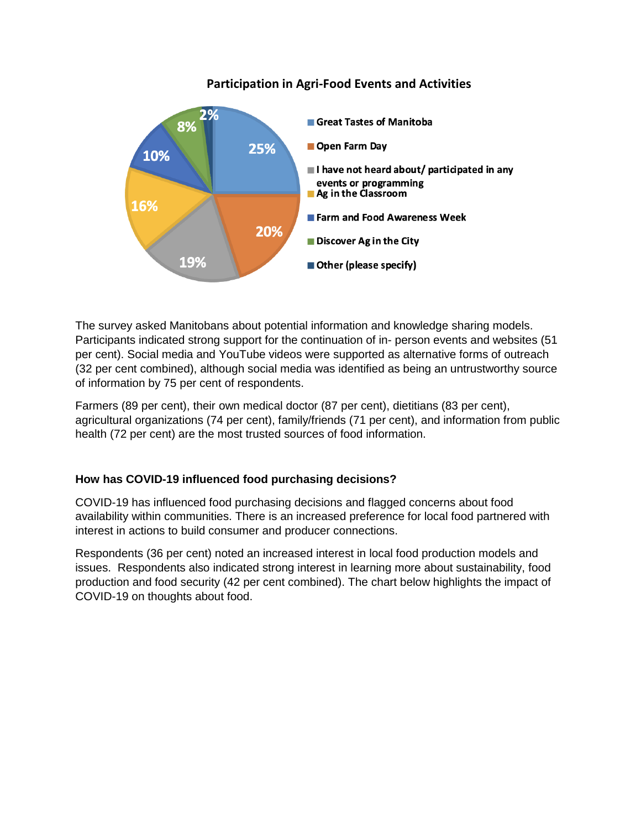#### **Participation in Agri-Food Events and Activities**



The survey asked Manitobans about potential information and knowledge sharing models. Participants indicated strong support for the continuation of in- person events and websites (51 per cent). Social media and YouTube videos were supported as alternative forms of outreach (32 per cent combined), although social media was identified as being an untrustworthy source of information by 75 per cent of respondents.

Farmers (89 per cent), their own medical doctor (87 per cent), dietitians (83 per cent), agricultural organizations (74 per cent), family/friends (71 per cent), and information from public health (72 per cent) are the most trusted sources of food information.

#### **How has COVID-19 influenced food purchasing decisions?**

COVID-19 has influenced food purchasing decisions and flagged concerns about food availability within communities. There is an increased preference for local food partnered with interest in actions to build consumer and producer connections.

Respondents (36 per cent) noted an increased interest in local food production models and issues. Respondents also indicated strong interest in learning more about sustainability, food production and food security (42 per cent combined). The chart below highlights the impact of COVID-19 on thoughts about food.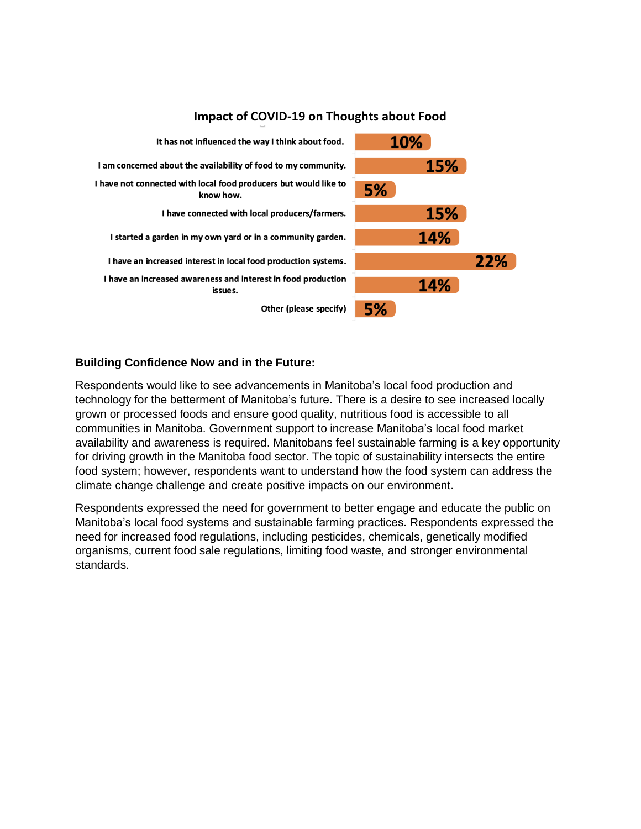

#### **Impact of COVID-19 on Thoughts about Food**

#### **Building Confidence Now and in the Future:**

Respondents would like to see advancements in Manitoba's local food production and technology for the betterment of Manitoba's future. There is a desire to see increased locally grown or processed foods and ensure good quality, nutritious food is accessible to all communities in Manitoba. Government support to increase Manitoba's local food market availability and awareness is required. Manitobans feel sustainable farming is a key opportunity for driving growth in the Manitoba food sector. The topic of sustainability intersects the entire food system; however, respondents want to understand how the food system can address the climate change challenge and create positive impacts on our environment.

Respondents expressed the need for government to better engage and educate the public on Manitoba's local food systems and sustainable farming practices. Respondents expressed the need for increased food regulations, including pesticides, chemicals, genetically modified organisms, current food sale regulations, limiting food waste, and stronger environmental standards.